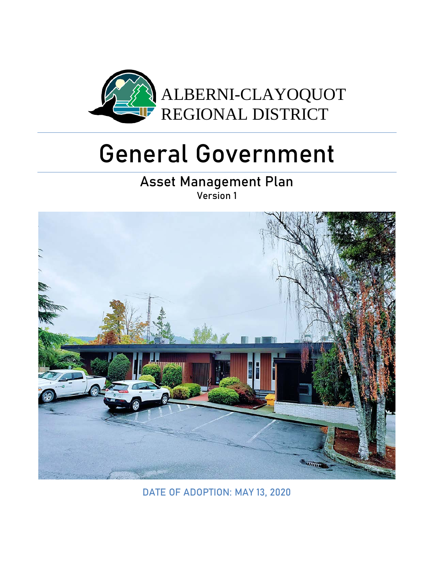

# General Government

Asset Management Plan Version 1



DATE OF ADOPTION: MAY 13, 2020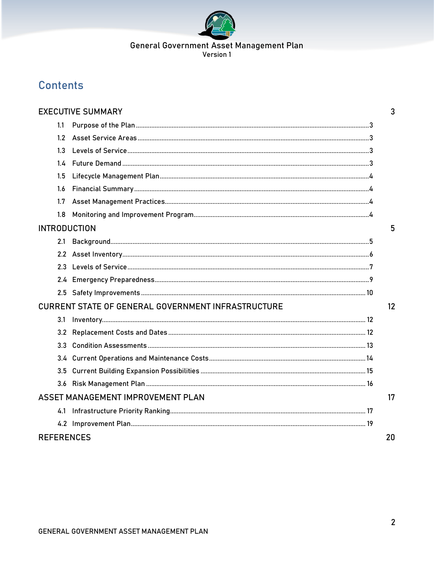

# **Contents**

|                                                                 | <b>EXECUTIVE SUMMARY</b>          | 3  |  |
|-----------------------------------------------------------------|-----------------------------------|----|--|
| 1.1                                                             |                                   |    |  |
| 1.2                                                             |                                   |    |  |
| 13                                                              |                                   |    |  |
| 14                                                              |                                   |    |  |
| 1.5                                                             |                                   |    |  |
| 1.6                                                             |                                   |    |  |
| 1.7                                                             |                                   |    |  |
| 1.8                                                             |                                   |    |  |
| <b>INTRODUCTION</b>                                             |                                   | 5  |  |
| 2.1                                                             |                                   |    |  |
|                                                                 |                                   |    |  |
| 23                                                              |                                   |    |  |
|                                                                 |                                   |    |  |
|                                                                 |                                   |    |  |
| <b>CURRENT STATE OF GENERAL GOVERNMENT INFRASTRUCTURE</b><br>12 |                                   |    |  |
| 3.1                                                             |                                   |    |  |
| 3.2                                                             |                                   |    |  |
| 3.3                                                             |                                   |    |  |
|                                                                 |                                   |    |  |
| 3.5                                                             |                                   |    |  |
| 3.6                                                             |                                   |    |  |
|                                                                 | ASSET MANAGEMENT IMPROVEMENT PLAN | 17 |  |
| 4.1                                                             |                                   |    |  |
|                                                                 |                                   |    |  |
| <b>REFERENCES</b>                                               |                                   | 20 |  |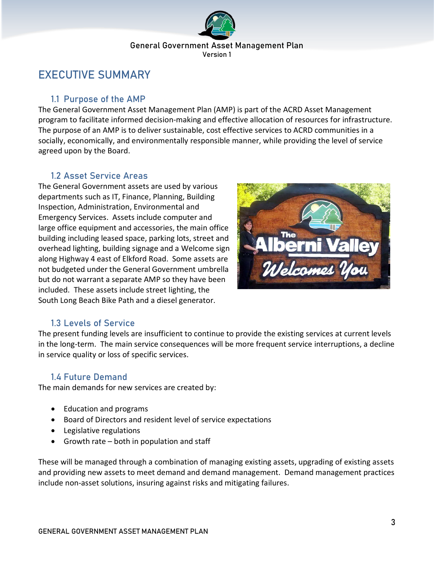

# <span id="page-2-0"></span>EXECUTIVE SUMMARY

# <span id="page-2-1"></span>1.1 Purpose of the AMP

The General Government Asset Management Plan (AMP) is part of the ACRD Asset Management program to facilitate informed decision-making and effective allocation of resources for infrastructure. The purpose of an AMP is to deliver sustainable, cost effective services to ACRD communities in a socially, economically, and environmentally responsible manner, while providing the level of service agreed upon by the Board.

# <span id="page-2-2"></span>1.2 Asset Service Areas

The General Government assets are used by various departments such as IT, Finance, Planning, Building Inspection, Administration, Environmental and Emergency Services. Assets include computer and large office equipment and accessories, the main office building including leased space, parking lots, street and overhead lighting, building signage and a Welcome sign along Highway 4 east of Elkford Road. Some assets are not budgeted under the General Government umbrella but do not warrant a separate AMP so they have been included. These assets include street lighting, the South Long Beach Bike Path and a diesel generator.



# 1.3 Levels of Service

<span id="page-2-3"></span>The present funding levels are insufficient to continue to provide the existing services at current levels in the long-term. The main service consequences will be more frequent service interruptions, a decline in service quality or loss of specific services.

# <span id="page-2-4"></span>1.4 Future Demand

The main demands for new services are created by:

- Education and programs
- Board of Directors and resident level of service expectations
- Legislative regulations
- Growth rate both in population and staff

These will be managed through a combination of managing existing assets, upgrading of existing assets and providing new assets to meet demand and demand management. Demand management practices include non-asset solutions, insuring against risks and mitigating failures.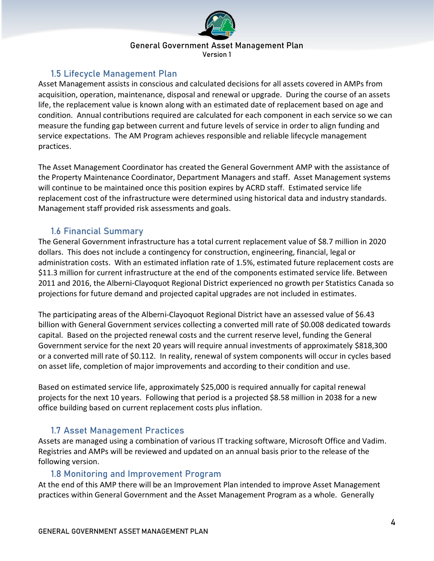

Version 1

# 1.5 Lifecycle Management Plan

<span id="page-3-0"></span>Asset Management assists in conscious and calculated decisions for all assets covered in AMPs from acquisition, operation, maintenance, disposal and renewal or upgrade. During the course of an assets life, the replacement value is known along with an estimated date of replacement based on age and condition. Annual contributions required are calculated for each component in each service so we can measure the funding gap between current and future levels of service in order to align funding and service expectations. The AM Program achieves responsible and reliable lifecycle management practices.

The Asset Management Coordinator has created the General Government AMP with the assistance of the Property Maintenance Coordinator, Department Managers and staff. Asset Management systems will continue to be maintained once this position expires by ACRD staff. Estimated service life replacement cost of the infrastructure were determined using historical data and industry standards. Management staff provided risk assessments and goals.

# 1.6 Financial Summary

<span id="page-3-1"></span>The General Government infrastructure has a total current replacement value of \$8.7 million in 2020 dollars. This does not include a contingency for construction, engineering, financial, legal or administration costs. With an estimated inflation rate of 1.5%, estimated future replacement costs are \$11.3 million for current infrastructure at the end of the components estimated service life. Between 2011 and 2016, the Alberni-Clayoquot Regional District experienced no growth per Statistics Canada so projections for future demand and projected capital upgrades are not included in estimates.

The participating areas of the Alberni-Clayoquot Regional District have an assessed value of \$6.43 billion with General Government services collecting a converted mill rate of \$0.008 dedicated towards capital. Based on the projected renewal costs and the current reserve level, funding the General Government service for the next 20 years will require annual investments of approximately \$818,300 or a converted mill rate of \$0.112. In reality, renewal of system components will occur in cycles based on asset life, completion of major improvements and according to their condition and use.

Based on estimated service life, approximately \$25,000 is required annually for capital renewal projects for the next 10 years. Following that period is a projected \$8.58 million in 2038 for a new office building based on current replacement costs plus inflation.

# 1.7 Asset Management Practices

<span id="page-3-2"></span>Assets are managed using a combination of various IT tracking software, Microsoft Office and Vadim. Registries and AMPs will be reviewed and updated on an annual basis prior to the release of the following version.

# 1.8 Monitoring and Improvement Program

<span id="page-3-3"></span>At the end of this AMP there will be an Improvement Plan intended to improve Asset Management practices within General Government and the Asset Management Program as a whole. Generally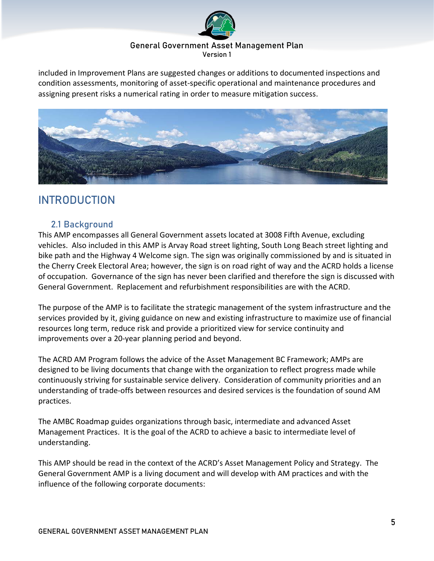

included in Improvement Plans are suggested changes or additions to documented inspections and condition assessments, monitoring of asset-specific operational and maintenance procedures and assigning present risks a numerical rating in order to measure mitigation success.



# <span id="page-4-0"></span>INTRODUCTION

# <span id="page-4-1"></span>2.1 Background

This AMP encompasses all General Government assets located at 3008 Fifth Avenue, excluding vehicles. Also included in this AMP is Arvay Road street lighting, South Long Beach street lighting and bike path and the Highway 4 Welcome sign. The sign was originally commissioned by and is situated in the Cherry Creek Electoral Area; however, the sign is on road right of way and the ACRD holds a license of occupation. Governance of the sign has never been clarified and therefore the sign is discussed with General Government. Replacement and refurbishment responsibilities are with the ACRD.

The purpose of the AMP is to facilitate the strategic management of the system infrastructure and the services provided by it, giving guidance on new and existing infrastructure to maximize use of financial resources long term, reduce risk and provide a prioritized view for service continuity and improvements over a 20-year planning period and beyond.

The ACRD AM Program follows the advice of the Asset Management BC Framework; AMPs are designed to be living documents that change with the organization to reflect progress made while continuously striving for sustainable service delivery. Consideration of community priorities and an understanding of trade-offs between resources and desired services is the foundation of sound AM practices.

The AMBC Roadmap guides organizations through basic, intermediate and advanced Asset Management Practices. It is the goal of the ACRD to achieve a basic to intermediate level of understanding.

This AMP should be read in the context of the ACRD's Asset Management Policy and Strategy. The General Government AMP is a living document and will develop with AM practices and with the influence of the following corporate documents: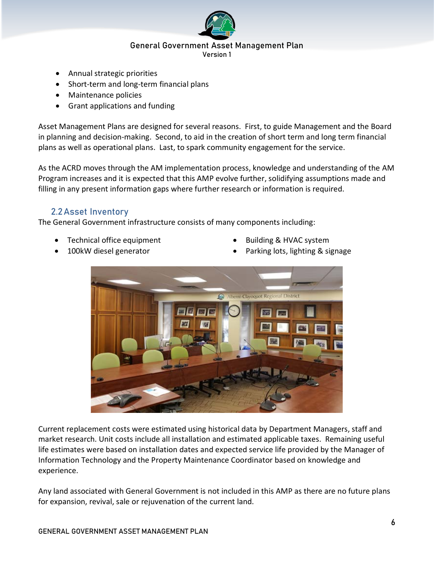

- Annual strategic priorities
- Short-term and long-term financial plans
- Maintenance policies
- Grant applications and funding

Asset Management Plans are designed for several reasons. First, to guide Management and the Board in planning and decision-making. Second, to aid in the creation of short term and long term financial plans as well as operational plans. Last, to spark community engagement for the service.

As the ACRD moves through the AM implementation process, knowledge and understanding of the AM Program increases and it is expected that this AMP evolve further, solidifying assumptions made and filling in any present information gaps where further research or information is required.

# <span id="page-5-0"></span>2.2Asset Inventory

The General Government infrastructure consists of many components including:

- Technical office equipment Building & HVAC system
- 
- 
- 100kW diesel generator **•** Parking lots, lighting & signage



Current replacement costs were estimated using historical data by Department Managers, staff and market research. Unit costs include all installation and estimated applicable taxes. Remaining useful life estimates were based on installation dates and expected service life provided by the Manager of Information Technology and the Property Maintenance Coordinator based on knowledge and experience.

Any land associated with General Government is not included in this AMP as there are no future plans for expansion, revival, sale or rejuvenation of the current land.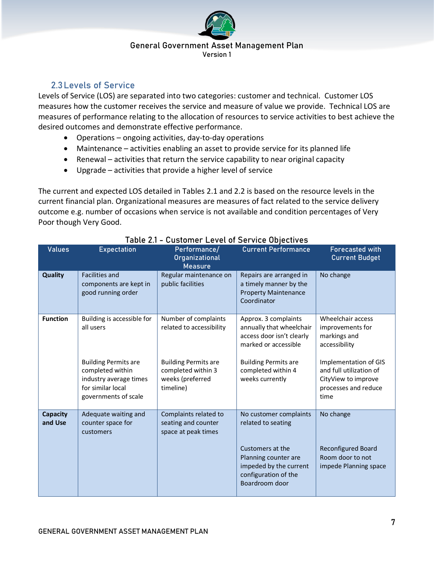

# <span id="page-6-0"></span>2.3Levels of Service

Levels of Service (LOS) are separated into two categories: customer and technical. Customer LOS measures how the customer receives the service and measure of value we provide. Technical LOS are measures of performance relating to the allocation of resources to service activities to best achieve the desired outcomes and demonstrate effective performance.

- Operations ongoing activities, day-to-day operations
- Maintenance activities enabling an asset to provide service for its planned life
- Renewal activities that return the service capability to near original capacity
- Upgrade activities that provide a higher level of service

The current and expected LOS detailed in Tables 2.1 and 2.2 is based on the resource levels in the current financial plan. Organizational measures are measures of fact related to the service delivery outcome e.g. number of occasions when service is not available and condition percentages of Very Poor though Very Good.

| <b>Values</b>              | <b>Expectation</b>                                                                                                     | Performance/<br>Organizational<br><b>Measure</b>                                   | <b>Current Performance</b>                                                                                   | <b>Forecasted with</b><br><b>Current Budget</b>                                                         |
|----------------------------|------------------------------------------------------------------------------------------------------------------------|------------------------------------------------------------------------------------|--------------------------------------------------------------------------------------------------------------|---------------------------------------------------------------------------------------------------------|
| Quality                    | <b>Facilities and</b><br>components are kept in<br>good running order                                                  | Regular maintenance on<br>public facilities                                        | Repairs are arranged in<br>a timely manner by the<br><b>Property Maintenance</b><br>Coordinator              | No change                                                                                               |
| <b>Function</b>            | Building is accessible for<br>all users                                                                                | Number of complaints<br>related to accessibility                                   | Approx. 3 complaints<br>annually that wheelchair<br>access door isn't clearly<br>marked or accessible        | Wheelchair access<br>improvements for<br>markings and<br>accessibility                                  |
|                            | <b>Building Permits are</b><br>completed within<br>industry average times<br>for similar local<br>governments of scale | <b>Building Permits are</b><br>completed within 3<br>weeks (preferred<br>timeline) | <b>Building Permits are</b><br>completed within 4<br>weeks currently                                         | Implementation of GIS<br>and full utilization of<br>CityView to improve<br>processes and reduce<br>time |
| <b>Capacity</b><br>and Use | Adequate waiting and<br>counter space for<br>customers                                                                 | Complaints related to<br>seating and counter<br>space at peak times                | No customer complaints<br>related to seating                                                                 | No change                                                                                               |
|                            |                                                                                                                        |                                                                                    | Customers at the<br>Planning counter are<br>impeded by the current<br>configuration of the<br>Boardroom door | <b>Reconfigured Board</b><br>Room door to not<br>impede Planning space                                  |

# Table 2.1 - Customer Level of Service Objectives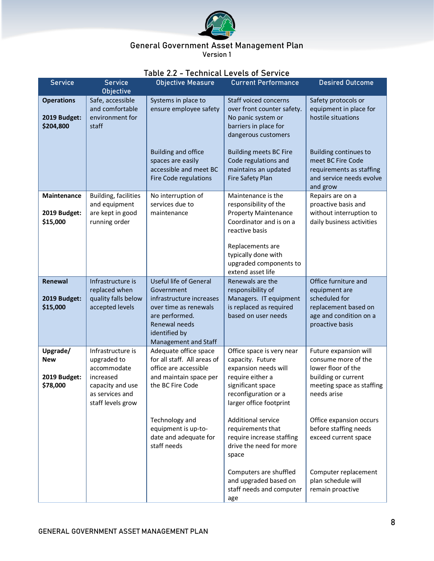

|                                                    |                                                                                                                          | iable 2.2 - Technical Levels of Service                                                                                                                                      |                                                                                                                                                                                                                   |                                                                                                                                       |
|----------------------------------------------------|--------------------------------------------------------------------------------------------------------------------------|------------------------------------------------------------------------------------------------------------------------------------------------------------------------------|-------------------------------------------------------------------------------------------------------------------------------------------------------------------------------------------------------------------|---------------------------------------------------------------------------------------------------------------------------------------|
| <b>Service</b>                                     | <b>Service</b>                                                                                                           | <b>Objective Measure</b>                                                                                                                                                     | <b>Current Performance</b>                                                                                                                                                                                        | <b>Desired Outcome</b>                                                                                                                |
|                                                    | Objective                                                                                                                |                                                                                                                                                                              |                                                                                                                                                                                                                   |                                                                                                                                       |
| <b>Operations</b><br>2019 Budget:<br>\$204,800     | Safe, accessible<br>and comfortable<br>environment for<br>staff                                                          | Systems in place to<br>ensure employee safety                                                                                                                                | Staff voiced concerns<br>over front counter safety.<br>No panic system or<br>barriers in place for<br>dangerous customers                                                                                         | Safety protocols or<br>equipment in place for<br>hostile situations                                                                   |
|                                                    |                                                                                                                          | <b>Building and office</b><br>spaces are easily<br>accessible and meet BC<br>Fire Code regulations                                                                           | <b>Building meets BC Fire</b><br>Code regulations and<br>maintains an updated<br>Fire Safety Plan                                                                                                                 | <b>Building continues to</b><br>meet BC Fire Code<br>requirements as staffing<br>and service needs evolve<br>and grow                 |
| <b>Maintenance</b><br>2019 Budget:<br>\$15,000     | Building, facilities<br>and equipment<br>are kept in good<br>running order                                               | No interruption of<br>services due to<br>maintenance                                                                                                                         | Maintenance is the<br>responsibility of the<br><b>Property Maintenance</b><br>Coordinator and is on a<br>reactive basis<br>Replacements are<br>typically done with<br>upgraded components to<br>extend asset life | Repairs are on a<br>proactive basis and<br>without interruption to<br>daily business activities                                       |
| Renewal<br>2019 Budget:<br>\$15,000                | Infrastructure is<br>replaced when<br>quality falls below<br>accepted levels                                             | <b>Useful life of General</b><br>Government<br>infrastructure increases<br>over time as renewals<br>are performed.<br>Renewal needs<br>identified by<br>Management and Staff | Renewals are the<br>responsibility of<br>Managers. IT equipment<br>is replaced as required<br>based on user needs                                                                                                 | Office furniture and<br>equipment are<br>scheduled for<br>replacement based on<br>age and condition on a<br>proactive basis           |
| Upgrade/<br><b>New</b><br>2019 Budget:<br>\$78,000 | Infrastructure is<br>upgraded to<br>accommodate<br>increased<br>capacity and use<br>as services and<br>staff levels grow | Adequate office space<br>for all staff. All areas of<br>office are accessible<br>and maintain space per<br>the BC Fire Code                                                  | Office space is very near<br>capacity. Future<br>expansion needs will<br>require either a<br>significant space<br>reconfiguration or a<br>larger office footprint                                                 | Future expansion will<br>consume more of the<br>lower floor of the<br>building or current<br>meeting space as staffing<br>needs arise |
|                                                    |                                                                                                                          | Technology and<br>equipment is up-to-<br>date and adequate for<br>staff needs                                                                                                | <b>Additional service</b><br>requirements that<br>require increase staffing<br>drive the need for more<br>space                                                                                                   | Office expansion occurs<br>before staffing needs<br>exceed current space                                                              |
|                                                    |                                                                                                                          |                                                                                                                                                                              | Computers are shuffled<br>and upgraded based on<br>staff needs and computer<br>age                                                                                                                                | Computer replacement<br>plan schedule will<br>remain proactive                                                                        |

# Table 2.2 - Technical Levels of Service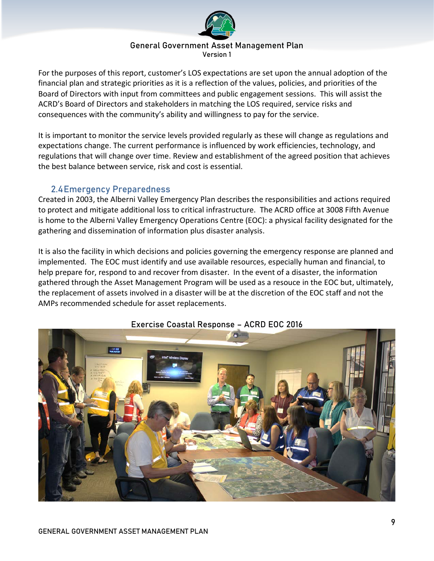

For the purposes of this report, customer's LOS expectations are set upon the annual adoption of the financial plan and strategic priorities as it is a reflection of the values, policies, and priorities of the Board of Directors with input from committees and public engagement sessions. This will assist the ACRD's Board of Directors and stakeholders in matching the LOS required, service risks and consequences with the community's ability and willingness to pay for the service.

It is important to monitor the service levels provided regularly as these will change as regulations and expectations change. The current performance is influenced by work efficiencies, technology, and regulations that will change over time. Review and establishment of the agreed position that achieves the best balance between service, risk and cost is essential.

# 2.4Emergency Preparedness

<span id="page-8-0"></span>Created in 2003, the Alberni Valley Emergency Plan describes the responsibilities and actions required to protect and mitigate additional loss to critical infrastructure. The ACRD office at 3008 Fifth Avenue is home to the Alberni Valley Emergency Operations Centre (EOC): a physical facility designated for the gathering and dissemination of information plus disaster analysis.

It is also the facility in which decisions and policies governing the emergency response are planned and implemented. The EOC must identify and use available resources, especially human and financial, to help prepare for, respond to and recover from disaster. In the event of a disaster, the information gathered through the Asset Management Program will be used as a resouce in the EOC but, ultimately, the replacement of assets involved in a disaster will be at the discretion of the EOC staff and not the AMPs recommended schedule for asset replacements.



# Exercise Coastal Response – ACRD EOC 2016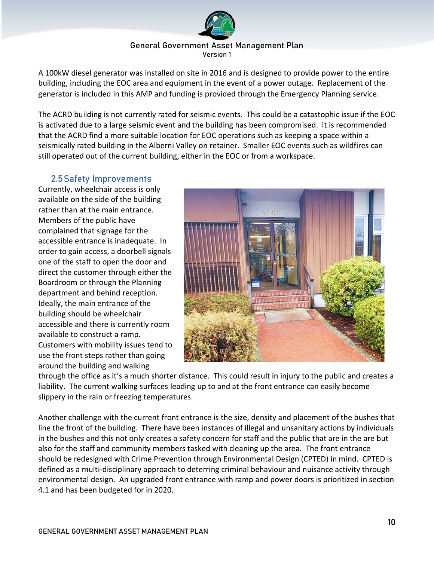

A 100kW diesel generator was installed on site in 2016 and is designed to provide power to the entire building, including the EOC area and equipment in the event of a power outage. Replacement of the generator is included in this AMP and funding is provided through the Emergency Planning service.

The ACRD building is not currently rated for seismic events. This could be a catastophic issue if the EOC is activated due to a large seismic event and the building has been compromised. It is recommended that the ACRD find a more suitable location for EOC operations such as keeping a space within a seismically rated building in the Alberni Valley on retainer. Smaller EOC events such as wildfires can still operated out of the current building, either in the EOC or from a workspace.

# 2.5Safety Improvements

<span id="page-9-0"></span>Currently, wheelchair access is only available on the side of the building rather than at the main entrance. Members of the public have complained that signage for the accessible entrance is inadequate. In order to gain access, a doorbell signals one of the staff to open the door and direct the customer through either the Boardroom or through the Planning department and behind reception. Ideally, the main entrance of the building should be wheelchair accessible and there is currently room available to construct a ramp. Customers with mobility issues tend to use the front steps rather than going around the building and walking



through the office as it's a much shorter distance. This could result in injury to the public and creates a liability. The current walking surfaces leading up to and at the front entrance can easily become slippery in the rain or freezing temperatures.

Another challenge with the current front entrance is the size, density and placement of the bushes that line the front of the building. There have been instances of illegal and unsanitary actions by individuals in the bushes and this not only creates a safety concern for staff and the public that are in the are but also for the staff and community members tasked with cleaning up the area. The front entrance should be redesigned with Crime Prevention through Environmental Design (CPTED) in mind. CPTED is defined as a multi-disciplinary approach to deterring criminal behaviour and nuisance activity through environmental design. An upgraded front entrance with ramp and power doors is prioritized in section 4.1 and has been budgeted for in 2020.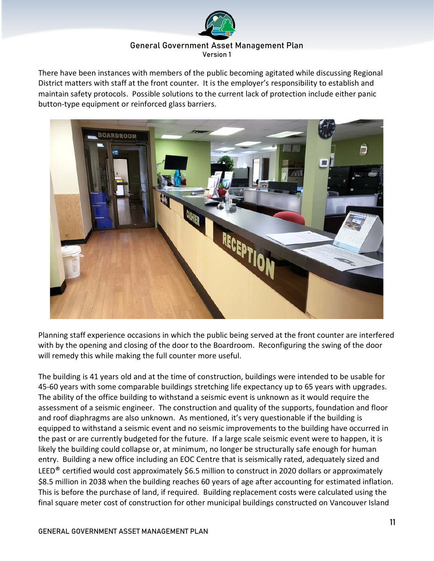

There have been instances with members of the public becoming agitated while discussing Regional District matters with staff at the front counter. It is the employer's responsibility to establish and maintain safety protocols. Possible solutions to the current lack of protection include either panic button-type equipment or reinforced glass barriers.



Planning staff experience occasions in which the public being served at the front counter are interfered with by the opening and closing of the door to the Boardroom. Reconfiguring the swing of the door will remedy this while making the full counter more useful.

The building is 41 years old and at the time of construction, buildings were intended to be usable for 45-60 years with some comparable buildings stretching life expectancy up to 65 years with upgrades. The ability of the office building to withstand a seismic event is unknown as it would require the assessment of a seismic engineer. The construction and quality of the supports, foundation and floor and roof diaphragms are also unknown. As mentioned, it's very questionable if the building is equipped to withstand a seismic event and no seismic improvements to the building have occurred in the past or are currently budgeted for the future. If a large scale seismic event were to happen, it is likely the building could collapse or, at minimum, no longer be structurally safe enough for human entry. Building a new office including an EOC Centre that is seismically rated, adequately sized and LEED<sup>®</sup> certified would cost approximately \$6.5 million to construct in 2020 dollars or approximately \$8.5 million in 2038 when the building reaches 60 years of age after accounting for estimated inflation. This is before the purchase of land, if required. Building replacement costs were calculated using the final square meter cost of construction for other municipal buildings constructed on Vancouver Island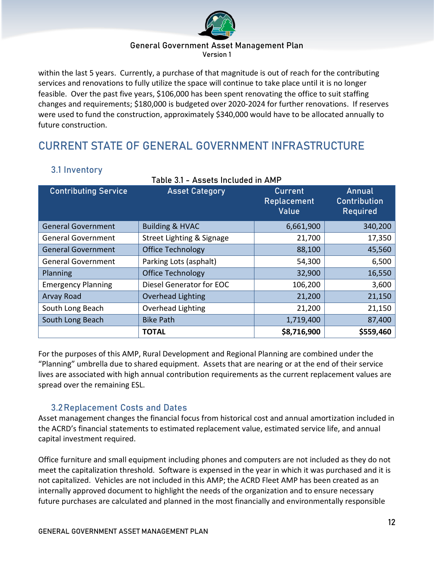

within the last 5 years. Currently, a purchase of that magnitude is out of reach for the contributing services and renovations to fully utilize the space will continue to take place until it is no longer feasible. Over the past five years, \$106,000 has been spent renovating the office to suit staffing changes and requirements; \$180,000 is budgeted over 2020-2024 for further renovations. If reserves were used to fund the construction, approximately \$340,000 would have to be allocated annually to future construction.

# <span id="page-11-0"></span>CURRENT STATE OF GENERAL GOVERNMENT INFRASTRUCTURE

# <span id="page-11-1"></span>3.1 Inventory

| <b>Contributing Service</b> | <b>Asset Category</b>      | <b>Current</b><br>Replacement<br>Value | Annual<br><b>Contribution</b><br>Required |
|-----------------------------|----------------------------|----------------------------------------|-------------------------------------------|
| <b>General Government</b>   | <b>Building &amp; HVAC</b> | 6,661,900                              | 340,200                                   |
| <b>General Government</b>   | Street Lighting & Signage  | 21,700                                 | 17,350                                    |
| <b>General Government</b>   | <b>Office Technology</b>   | 88,100                                 | 45,560                                    |
| <b>General Government</b>   | Parking Lots (asphalt)     | 54,300                                 | 6,500                                     |
| Planning                    | <b>Office Technology</b>   | 32,900                                 | 16,550                                    |
| <b>Emergency Planning</b>   | Diesel Generator for EOC   | 106,200                                | 3,600                                     |
| Arvay Road                  | <b>Overhead Lighting</b>   | 21,200                                 | 21,150                                    |
| South Long Beach            | <b>Overhead Lighting</b>   | 21,200                                 | 21,150                                    |
| South Long Beach            | <b>Bike Path</b>           | 1,719,400                              | 87,400                                    |
|                             | <b>TOTAL</b>               | \$8,716,900                            | \$559,460                                 |

For the purposes of this AMP, Rural Development and Regional Planning are combined under the "Planning" umbrella due to shared equipment. Assets that are nearing or at the end of their service lives are associated with high annual contribution requirements as the current replacement values are spread over the remaining ESL.

# 3.2Replacement Costs and Dates

<span id="page-11-2"></span>Asset management changes the financial focus from historical cost and annual amortization included in the ACRD's financial statements to estimated replacement value, estimated service life, and annual capital investment required.

Office furniture and small equipment including phones and computers are not included as they do not meet the capitalization threshold. Software is expensed in the year in which it was purchased and it is not capitalized. Vehicles are not included in this AMP; the ACRD Fleet AMP has been created as an internally approved document to highlight the needs of the organization and to ensure necessary future purchases are calculated and planned in the most financially and environmentally responsible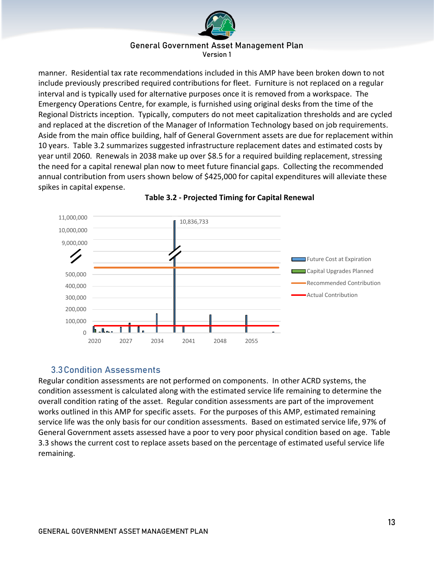

manner. Residential tax rate recommendations included in this AMP have been broken down to not include previously prescribed required contributions for fleet. Furniture is not replaced on a regular interval and is typically used for alternative purposes once it is removed from a workspace. The Emergency Operations Centre, for example, is furnished using original desks from the time of the Regional Districts inception. Typically, computers do not meet capitalization thresholds and are cycled and replaced at the discretion of the Manager of Information Technology based on job requirements. Aside from the main office building, half of General Government assets are due for replacement within 10 years. Table 3.2 summarizes suggested infrastructure replacement dates and estimated costs by year until 2060. Renewals in 2038 make up over \$8.5 for a required building replacement, stressing the need for a capital renewal plan now to meet future financial gaps. Collecting the recommended annual contribution from users shown below of \$425,000 for capital expenditures will alleviate these spikes in capital expense.





# 3.3Condition Assessments

<span id="page-12-0"></span>Regular condition assessments are not performed on components. In other ACRD systems, the condition assessment is calculated along with the estimated service life remaining to determine the overall condition rating of the asset. Regular condition assessments are part of the improvement works outlined in this AMP for specific assets. For the purposes of this AMP, estimated remaining service life was the only basis for our condition assessments. Based on estimated service life, 97% of General Government assets assessed have a poor to very poor physical condition based on age. Table 3.3 shows the current cost to replace assets based on the percentage of estimated useful service life remaining.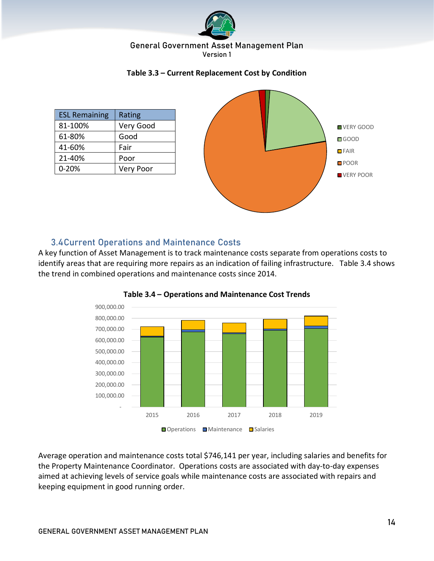

#### **Table 3.3 – Current Replacement Cost by Condition**



# 3.4Current Operations and Maintenance Costs

<span id="page-13-0"></span>A key function of Asset Management is to track maintenance costs separate from operations costs to identify areas that are requiring more repairs as an indication of failing infrastructure. Table 3.4 shows the trend in combined operations and maintenance costs since 2014.





Average operation and maintenance costs total \$746,141 per year, including salaries and benefits for the Property Maintenance Coordinator. Operations costs are associated with day-to-day expenses aimed at achieving levels of service goals while maintenance costs are associated with repairs and keeping equipment in good running order.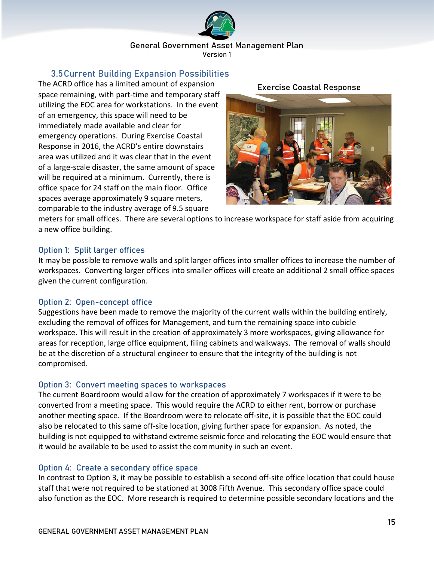

# 3.5Current Building Expansion Possibilities

<span id="page-14-0"></span>The ACRD office has a limited amount of expansion space remaining, with part-time and temporary staff utilizing the EOC area for workstations. In the event of an emergency, this space will need to be immediately made available and clear for emergency operations. During Exercise Coastal Response in 2016, the ACRD's entire downstairs area was utilized and it was clear that in the event of a large-scale disaster, the same amount of space will be required at a minimum. Currently, there is office space for 24 staff on the main floor. Office spaces average approximately 9 square meters, comparable to the industry average of 9.5 square

## Exercise Coastal Response



meters for small offices. There are several options to increase workspace for staff aside from acquiring a new office building.

# Option 1: Split larger offices

It may be possible to remove walls and split larger offices into smaller offices to increase the number of workspaces. Converting larger offices into smaller offices will create an additional 2 small office spaces given the current configuration.

# Option 2: Open-concept office

Suggestions have been made to remove the majority of the current walls within the building entirely, excluding the removal of offices for Management, and turn the remaining space into cubicle workspace. This will result in the creation of approximately 3 more workspaces, giving allowance for areas for reception, large office equipment, filing cabinets and walkways. The removal of walls should be at the discretion of a structural engineer to ensure that the integrity of the building is not compromised.

# Option 3: Convert meeting spaces to workspaces

The current Boardroom would allow for the creation of approximately 7 workspaces if it were to be converted from a meeting space. This would require the ACRD to either rent, borrow or purchase another meeting space. If the Boardroom were to relocate off-site, it is possible that the EOC could also be relocated to this same off-site location, giving further space for expansion. As noted, the building is not equipped to withstand extreme seismic force and relocating the EOC would ensure that it would be available to be used to assist the community in such an event.

# Option 4: Create a secondary office space

In contrast to Option 3, it may be possible to establish a second off-site office location that could house staff that were not required to be stationed at 3008 Fifth Avenue. This secondary office space could also function as the EOC. More research is required to determine possible secondary locations and the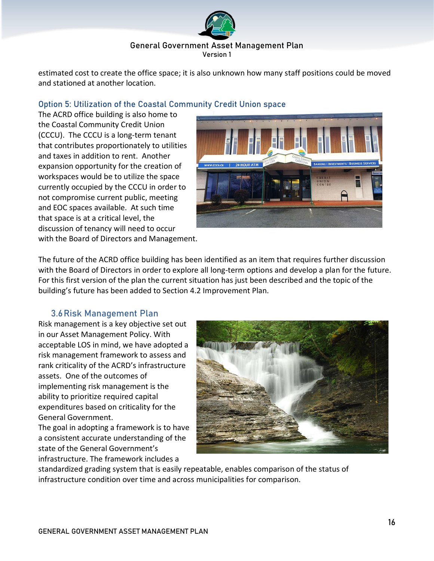

estimated cost to create the office space; it is also unknown how many staff positions could be moved and stationed at another location.

# Option 5: Utilization of the Coastal Community Credit Union space

The ACRD office building is also home to the Coastal Community Credit Union (CCCU). The CCCU is a long-term tenant that contributes proportionately to utilities and taxes in addition to rent. Another expansion opportunity for the creation of workspaces would be to utilize the space currently occupied by the CCCU in order to not compromise current public, meeting and EOC spaces available. At such time that space is at a critical level, the discussion of tenancy will need to occur with the Board of Directors and Management.



The future of the ACRD office building has been identified as an item that requires further discussion with the Board of Directors in order to explore all long-term options and develop a plan for the future. For this first version of the plan the current situation has just been described and the topic of the building's future has been added to Section 4.2 Improvement Plan.

# 3.6Risk Management Plan

<span id="page-15-0"></span>Risk management is a key objective set out in our Asset Management Policy. With acceptable LOS in mind, we have adopted a risk management framework to assess and rank criticality of the ACRD's infrastructure assets. One of the outcomes of implementing risk management is the ability to prioritize required capital expenditures based on criticality for the General Government.

The goal in adopting a framework is to have a consistent accurate understanding of the state of the General Government's infrastructure. The framework includes a



standardized grading system that is easily repeatable, enables comparison of the status of infrastructure condition over time and across municipalities for comparison.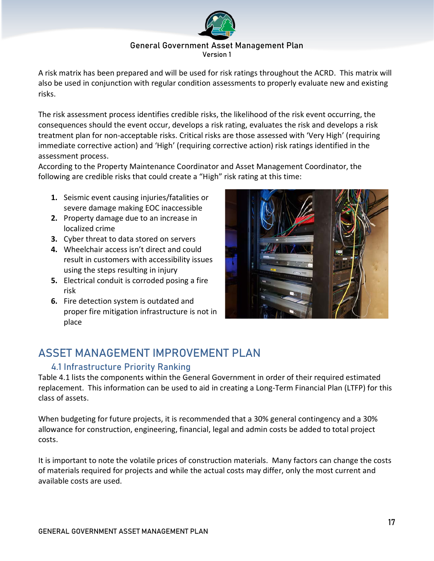

A risk matrix has been prepared and will be used for risk ratings throughout the ACRD. This matrix will also be used in conjunction with regular condition assessments to properly evaluate new and existing risks.

The risk assessment process identifies credible risks, the likelihood of the risk event occurring, the consequences should the event occur, develops a risk rating, evaluates the risk and develops a risk treatment plan for non-acceptable risks. Critical risks are those assessed with 'Very High' (requiring immediate corrective action) and 'High' (requiring corrective action) risk ratings identified in the assessment process.

According to the Property Maintenance Coordinator and Asset Management Coordinator, the following are credible risks that could create a "High" risk rating at this time:

- **1.** Seismic event causing injuries/fatalities or severe damage making EOC inaccessible
- **2.** Property damage due to an increase in localized crime
- **3.** Cyber threat to data stored on servers
- **4.** Wheelchair access isn't direct and could result in customers with accessibility issues using the steps resulting in injury
- **5.** Electrical conduit is corroded posing a fire risk
- **6.** Fire detection system is outdated and proper fire mitigation infrastructure is not in place



# <span id="page-16-0"></span>ASSET MANAGEMENT IMPROVEMENT PLAN

# <span id="page-16-1"></span>4.1 Infrastructure Priority Ranking

Table 4.1 lists the components within the General Government in order of their required estimated replacement. This information can be used to aid in creating a Long-Term Financial Plan (LTFP) for this class of assets.

When budgeting for future projects, it is recommended that a 30% general contingency and a 30% allowance for construction, engineering, financial, legal and admin costs be added to total project costs.

It is important to note the volatile prices of construction materials. Many factors can change the costs of materials required for projects and while the actual costs may differ, only the most current and available costs are used.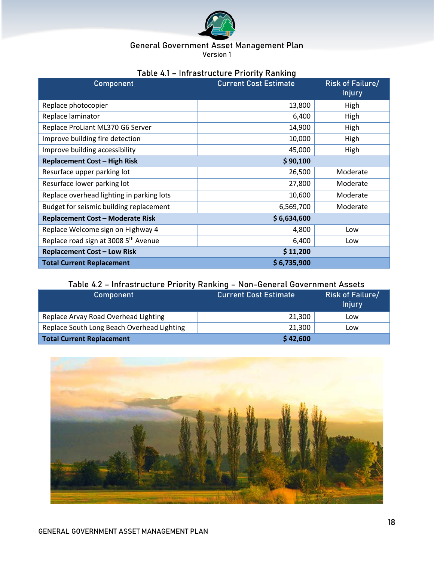

| Component                                        | <b>Current Cost Estimate</b> | <b>Risk of Failure/</b><br><b>Injury</b> |
|--------------------------------------------------|------------------------------|------------------------------------------|
| Replace photocopier                              | 13,800                       | High                                     |
| Replace laminator                                | 6,400                        | High                                     |
| Replace ProLiant ML370 G6 Server                 | 14,900                       | High                                     |
| Improve building fire detection                  | 10,000                       | High                                     |
| Improve building accessibility                   | 45,000                       | High                                     |
| <b>Replacement Cost - High Risk</b>              | \$90,100                     |                                          |
| Resurface upper parking lot                      | 26,500                       | Moderate                                 |
| Resurface lower parking lot                      | 27,800                       | Moderate                                 |
| Replace overhead lighting in parking lots        | 10,600                       | Moderate                                 |
| Budget for seismic building replacement          | 6,569,700                    | Moderate                                 |
| <b>Replacement Cost - Moderate Risk</b>          | \$6,634,600                  |                                          |
| Replace Welcome sign on Highway 4                | 4,800                        | Low                                      |
| Replace road sign at 3008 5 <sup>th</sup> Avenue | 6,400                        | Low                                      |
| <b>Replacement Cost - Low Risk</b>               | \$11,200                     |                                          |
| <b>Total Current Replacement</b>                 | \$6,735,900                  |                                          |

# Table 4.2 – Infrastructure Priority Ranking – Non-General Government Assets

| <b>Component</b>                           | <b>Current Cost Estimate</b> | <b>Risk of Failure/</b><br><b>Injury</b> |
|--------------------------------------------|------------------------------|------------------------------------------|
| Replace Arvay Road Overhead Lighting       | 21,300                       | Low                                      |
| Replace South Long Beach Overhead Lighting | 21,300                       | Low                                      |
| <b>Total Current Replacement</b>           | \$42,600                     |                                          |

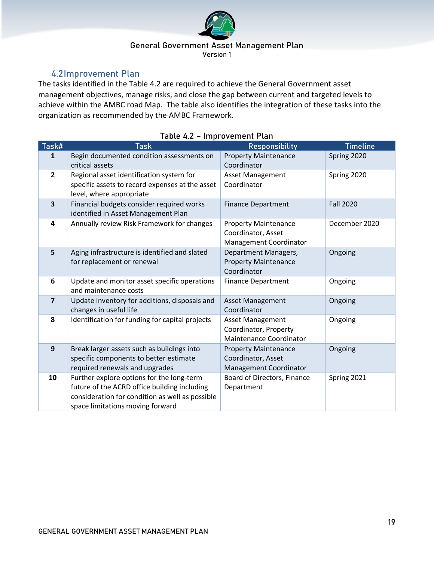

# 4.2Improvement Plan

<span id="page-18-0"></span>The tasks identified in the Table 4.2 are required to achieve the General Government asset management objectives, manage risks, and close the gap between current and targeted levels to achieve within the AMBC road Map. The table also identifies the integration of these tasks into the organization as recommended by the AMBC Framework.

| Task#          | <b>Task</b>                                                                                                                                                                      | <b>Responsibility</b>                                                              | <b>Timeline</b>  |
|----------------|----------------------------------------------------------------------------------------------------------------------------------------------------------------------------------|------------------------------------------------------------------------------------|------------------|
| 1              | Begin documented condition assessments on<br>critical assets                                                                                                                     | <b>Property Maintenance</b><br>Coordinator                                         | Spring 2020      |
| $\mathbf{2}$   | Regional asset identification system for<br>specific assets to record expenses at the asset<br>level, where appropriate                                                          | <b>Asset Management</b><br>Coordinator                                             | Spring 2020      |
| 3              | Financial budgets consider required works<br>identified in Asset Management Plan                                                                                                 | <b>Finance Department</b>                                                          | <b>Fall 2020</b> |
| 4              | Annually review Risk Framework for changes                                                                                                                                       | <b>Property Maintenance</b><br>Coordinator, Asset<br><b>Management Coordinator</b> | December 2020    |
| 5              | Aging infrastructure is identified and slated<br>for replacement or renewal                                                                                                      | Department Managers,<br><b>Property Maintenance</b><br>Coordinator                 | Ongoing          |
| 6              | Update and monitor asset specific operations<br>and maintenance costs                                                                                                            | <b>Finance Department</b>                                                          | Ongoing          |
| $\overline{7}$ | Update inventory for additions, disposals and<br>changes in useful life                                                                                                          | <b>Asset Management</b><br>Coordinator                                             | Ongoing          |
| 8              | Identification for funding for capital projects                                                                                                                                  | <b>Asset Management</b><br>Coordinator, Property<br><b>Maintenance Coordinator</b> | Ongoing          |
| 9              | Break larger assets such as buildings into<br>specific components to better estimate<br>required renewals and upgrades                                                           | <b>Property Maintenance</b><br>Coordinator, Asset<br>Management Coordinator        | Ongoing          |
| 10             | Further explore options for the long-term<br>future of the ACRD office building including<br>consideration for condition as well as possible<br>space limitations moving forward | Board of Directors, Finance<br>Department                                          | Spring 2021      |

# Table 4.2 – Improvement Plan